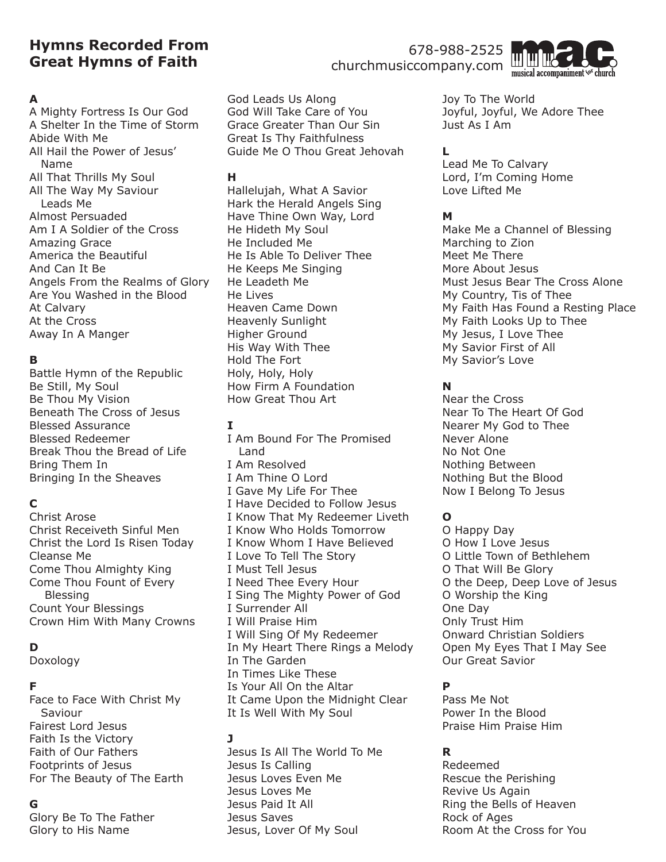# **Hymns Recorded From Great Hymns of Faith**

### **A**

A Mighty Fortress Is Our God A Shelter In the Time of Storm Abide With Me All Hail the Power of Jesus' Name All That Thrills My Soul All The Way My Saviour Leads Me Almost Persuaded Am I A Soldier of the Cross Amazing Grace America the Beautiful And Can It Be Angels From the Realms of Glory Are You Washed in the Blood At Calvary At the Cross Away In A Manger

## **B**

Battle Hymn of the Republic Be Still, My Soul Be Thou My Vision Beneath The Cross of Jesus Blessed Assurance Blessed Redeemer Break Thou the Bread of Life Bring Them In Bringing In the Sheaves

## **C**

Christ Arose Christ Receiveth Sinful Men Christ the Lord Is Risen Today Cleanse Me Come Thou Almighty King Come Thou Fount of Every Blessing Count Your Blessings Crown Him With Many Crowns

## **D**

Doxology

### **F**

Face to Face With Christ My Saviour Fairest Lord Jesus Faith Is the Victory Faith of Our Fathers Footprints of Jesus For The Beauty of The Earth

## **G**

Glory Be To The Father Glory to His Name

God Leads Us Along God Will Take Care of You Grace Greater Than Our Sin Great Is Thy Faithfulness Guide Me O Thou Great Jehovah

### **H**

Hallelujah, What A Savior Hark the Herald Angels Sing Have Thine Own Way, Lord He Hideth My Soul He Included Me He Is Able To Deliver Thee He Keeps Me Singing He Leadeth Me He Lives Heaven Came Down Heavenly Sunlight Higher Ground His Way With Thee Hold The Fort Holy, Holy, Holy How Firm A Foundation How Great Thou Art

### **I**

I Am Bound For The Promised Land I Am Resolved I Am Thine O Lord I Gave My Life For Thee I Have Decided to Follow Jesus I Know That My Redeemer Liveth I Know Who Holds Tomorrow I Know Whom I Have Believed I Love To Tell The Story I Must Tell Jesus I Need Thee Every Hour I Sing The Mighty Power of God I Surrender All I Will Praise Him I Will Sing Of My Redeemer In My Heart There Rings a Melody In The Garden In Times Like These Is Your All On the Altar It Came Upon the Midnight Clear It Is Well With My Soul

## **J**

Jesus Is All The World To Me Jesus Is Calling Jesus Loves Even Me Jesus Loves Me Jesus Paid It All Jesus Saves Jesus, Lover Of My Soul

678-988-2525 churchmusiccompany.com



Joy To The World Joyful, Joyful, We Adore Thee Just As I Am

## **L**

Lead Me To Calvary Lord, I'm Coming Home Love Lifted Me

## **M**

Make Me a Channel of Blessing Marching to Zion Meet Me There More About Jesus Must Jesus Bear The Cross Alone My Country, Tis of Thee My Faith Has Found a Resting Place My Faith Looks Up to Thee My Jesus, I Love Thee My Savior First of All My Savior's Love

## **N**

Near the Cross Near To The Heart Of God Nearer My God to Thee Never Alone No Not One Nothing Between Nothing But the Blood Now I Belong To Jesus

## **O**

O Happy Day O How I Love Jesus O Little Town of Bethlehem O That Will Be Glory O the Deep, Deep Love of Jesus O Worship the King One Day Only Trust Him Onward Christian Soldiers Open My Eyes That I May See Our Great Savior

## **P**

Pass Me Not Power In the Blood Praise Him Praise Him

## **R**

Redeemed Rescue the Perishing Revive Us Again Ring the Bells of Heaven Rock of Ages Room At the Cross for You